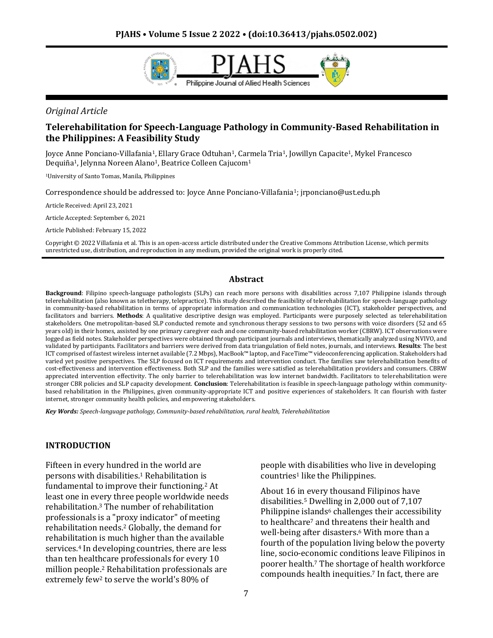

### *Original Article*

## **Telerehabilitation for Speech-Language Pathology in Community-Based Rehabilitation in the Philippines: A Feasibility Study**

Joyce Anne Ponciano-Villafania1, Ellary Grace Odtuhan1, Carmela Tria1, Jowillyn Capacite1, Mykel Francesco Dequiña<sup>1</sup>, Jelynna Noreen Alano<sup>1</sup>, Beatrice Colleen Cajucom<sup>1</sup>

<sup>1</sup>University of Santo Tomas, Manila, Philippines

Correspondence should be addressed to: Joyce Anne Ponciano-Villafania1; jrponciano@ust.edu.ph

Article Received: April 23, 2021

Article Accepted: September 6, 2021

Article Published: February 15, 2022

Copyright © 2022 Villafania et al. This is an open-access article distributed under the Creative Commons Attribution License, which permits unrestricted use, distribution, and reproduction in any medium, provided the original work is properly cited.

#### **Abstract**

**Background**: Filipino speech-language pathologists (SLPs) can reach more persons with disabilities across 7,107 Philippine islands through telerehabilitation (also known as teletherapy, telepractice). This study described the feasibility of telerehabilitation for speech-language pathology in community-based rehabilitation in terms of appropriate information and communication technologies (ICT), stakeholder perspectives, and facilitators and barriers. **Methods**: A qualitative descriptive design was employed. Participants were purposely selected as telerehabilitation stakeholders. One metropolitan-based SLP conducted remote and synchronous therapy sessions to two persons with voice disorders (52 and 65 years old) in their homes, assisted by one primary caregiver each and one community-based rehabilitation worker (CBRW). ICT observations were logged as field notes. Stakeholder perspectives were obtained through participant journals and interviews, thematically analyzed using NVIVO, and validated by participants. Facilitators and barriers were derived from data triangulation of field notes, journals, and interviews. **Results**: The best ICT comprised of fastest wireless internet available (7.2 Mbps), MacBook™ laptop, and FaceTime™ videoconferencing application. Stakeholders had varied yet positive perspectives. The SLP focused on ICT requirements and intervention conduct. The families saw telerehabilitation benefits of cost-effectiveness and intervention effectiveness. Both SLP and the families were satisfied as telerehabilitation providers and consumers. CBRW appreciated intervention effectivity. The only barrier to telerehabilitation was low internet bandwidth. Facilitators to telerehabilitation were stronger CBR policies and SLP capacity development. **Conclusion**: Telerehabilitation is feasible in speech-language pathology within communitybased rehabilitation in the Philippines, given community-appropriate ICT and positive experiences of stakeholders. It can flourish with faster internet, stronger community health policies, and empowering stakeholders.

*Key Words: Speech-language pathology, Community-based rehabilitation, rural health, Telerehabilitation*

#### **INTRODUCTION**

Fifteen in every hundred in the world are persons with disabilities.<sup>1</sup> Rehabilitation is fundamental to improve their functioning.<sup>2</sup> At least one in every three people worldwide needs rehabilitation.<sup>3</sup> The number of rehabilitation professionals is a "proxy indicator" of meeting rehabilitation needs.<sup>2</sup> Globally, the demand for rehabilitation is much higher than the available services.<sup>4</sup> In developing countries, there are less than ten healthcare professionals for every 10 million people.<sup>2</sup> Rehabilitation professionals are extremely few<sup>2</sup> to serve the world's 80% of

people with disabilities who live in developing countries<sup>1</sup> like the Philippines.

About 16 in every thousand Filipinos have disabilities.<sup>5</sup> Dwelling in 2,000 out of 7,107 Philippine islands $6$  challenges their accessibility to healthcare<sup>7</sup> and threatens their health and well-being after disasters.<sup>6</sup> With more than a fourth of the population living below the poverty line, socio-economic conditions leave Filipinos in poorer health.<sup>7</sup> The shortage of health workforce compounds health inequities.<sup>7</sup> In fact, there are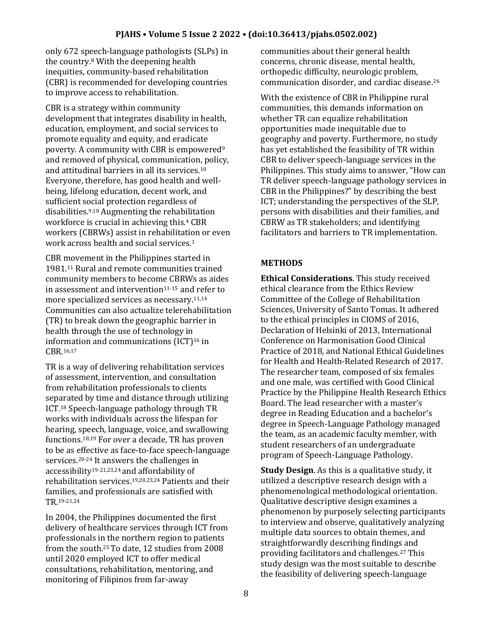only 672 speech-language pathologists (SLPs) in the country.<sup>8</sup> With the deepening health inequities, community-based rehabilitation (CBR) is recommended for developing countries to improve access to rehabilitation.

CBR is a strategy within community development that integrates disability in health, education, employment, and social services to promote equality and equity, and eradicate poverty. A community with CBR is empowered<sup>9</sup> and removed of physical, communication, policy, and attitudinal barriers in all its services.<sup>10</sup> Everyone, therefore, has good health and wellbeing, lifelong education, decent work, and sufficient social protection regardless of disabilities.9,10 Augmenting the rehabilitation workforce is crucial in achieving this.<sup>4</sup> CBR workers (CBRWs) assist in rehabilitation or even work across health and social services.<sup>1</sup>

CBR movement in the Philippines started in 1981.<sup>11</sup> Rural and remote communities trained community members to become CBRWs as aides in assessment and intervention $11-15$  and refer to more specialized services as necessary.11,14 Communities can also actualize telerehabilitation (TR) to break down the geographic barrier in health through the use of technology in information and communications (ICT)<sup>16</sup> in CBR.16,17

TR is a way of delivering rehabilitation services of assessment, intervention, and consultation from rehabilitation professionals to clients separated by time and distance through utilizing ICT.<sup>18</sup> Speech-language pathology through TR works with individuals across the lifespan for hearing, speech, language, voice, and swallowing functions.18,19 For over a decade, TR has proven to be as effective as face-to-face speech-language services.<sup>20-24</sup> It answers the challenges in accessibility19-21,23,24 and affordability of rehabilitation services.19,20,23,24 Patients and their families, and professionals are satisfied with TR.19-21,24

In 2004, the Philippines documented the first delivery of healthcare services through ICT from professionals in the northern region to patients from the south.25 To date, 12 studies from 2008 until 2020 employed ICT to offer medical consultations, rehabilitation, mentoring, and monitoring of Filipinos from far-away

communities about their general health concerns, chronic disease, mental health, orthopedic difficulty, neurologic problem, communication disorder, and cardiac disease.<sup>26</sup>

With the existence of CBR in Philippine rural communities, this demands information on whether TR can equalize rehabilitation opportunities made inequitable due to geography and poverty. Furthermore, no study has yet established the feasibility of TR within CBR to deliver speech-language services in the Philippines. This study aims to answer, "How can TR deliver speech-language pathology services in CBR in the Philippines?" by describing the best ICT; understanding the perspectives of the SLP, persons with disabilities and their families, and CBRW as TR stakeholders; and identifying facilitators and barriers to TR implementation.

# **METHODS**

**Ethical Considerations**. This study received ethical clearance from the Ethics Review Committee of the College of Rehabilitation Sciences, University of Santo Tomas. It adhered to the ethical principles in CIOMS of 2016, Declaration of Helsinki of 2013, International Conference on Harmonisation Good Clinical Practice of 2018, and National Ethical Guidelines for Health and Health-Related Research of 2017. The researcher team, composed of six females and one male, was certified with Good Clinical Practice by the Philippine Health Research Ethics Board. The lead researcher with a master's degree in Reading Education and a bachelor's degree in Speech-Language Pathology managed the team, as an academic faculty member, with student researchers of an undergraduate program of Speech-Language Pathology.

**Study Design**. As this is a qualitative study, it utilized a descriptive research design with a phenomenological methodological orientation. Qualitative descriptive design examines a phenomenon by purposely selecting participants to interview and observe, qualitatively analyzing multiple data sources to obtain themes, and straightforwardly describing findings and providing facilitators and challenges.<sup>27</sup> This study design was the most suitable to describe the feasibility of delivering speech-language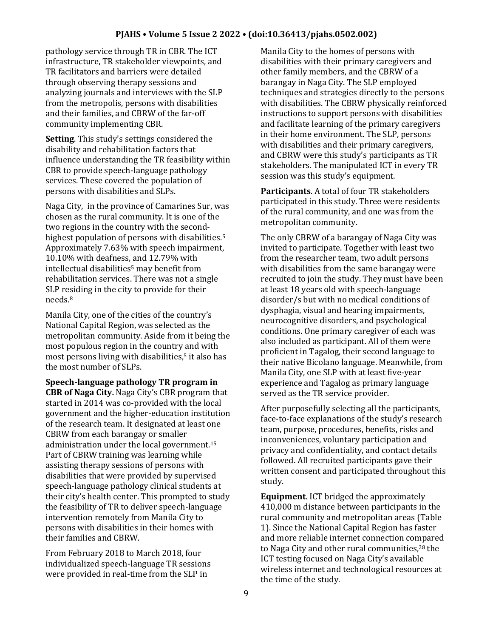pathology service through TR in CBR. The ICT infrastructure, TR stakeholder viewpoints, and TR facilitators and barriers were detailed through observing therapy sessions and analyzing journals and interviews with the SLP from the metropolis, persons with disabilities and their families, and CBRW of the far-off community implementing CBR.

**Setting**. This study's settings considered the disability and rehabilitation factors that influence understanding the TR feasibility within CBR to provide speech-language pathology services. These covered the population of persons with disabilities and SLPs.

Naga City, in the province of Camarines Sur, was chosen as the rural community. It is one of the two regions in the country with the secondhighest population of persons with disabilities.<sup>5</sup> Approximately 7.63% with speech impairment, 10.10% with deafness, and 12.79% with intellectual disabilities<sup>5</sup> may benefit from rehabilitation services. There was not a single SLP residing in the city to provide for their needs.<sup>8</sup>

Manila City, one of the cities of the country's National Capital Region, was selected as the metropolitan community. Aside from it being the most populous region in the country and with most persons living with disabilities,<sup>5</sup> it also has the most number of SLPs.

**Speech-language pathology TR program in CBR of Naga City.** Naga City's CBR program that started in 2014 was co-provided with the local government and the higher-education institution of the research team. It designated at least one CBRW from each barangay or smaller administration under the local government.<sup>15</sup> Part of CBRW training was learning while assisting therapy sessions of persons with disabilities that were provided by supervised speech-language pathology clinical students at their city's health center. This prompted to study the feasibility of TR to deliver speech-language intervention remotely from Manila City to persons with disabilities in their homes with their families and CBRW.

From February 2018 to March 2018, four individualized speech-language TR sessions were provided in real-time from the SLP in

Manila City to the homes of persons with disabilities with their primary caregivers and other family members, and the CBRW of a barangay in Naga City. The SLP employed techniques and strategies directly to the persons with disabilities. The CBRW physically reinforced instructions to support persons with disabilities and facilitate learning of the primary caregivers in their home environment. The SLP, persons with disabilities and their primary caregivers, and CBRW were this study's participants as TR stakeholders. The manipulated ICT in every TR session was this study's equipment.

**Participants**. A total of four TR stakeholders participated in this study. Three were residents of the rural community, and one was from the metropolitan community.

The only CBRW of a barangay of Naga City was invited to participate. Together with least two from the researcher team, two adult persons with disabilities from the same barangay were recruited to join the study. They must have been at least 18 years old with speech-language disorder/s but with no medical conditions of dysphagia, visual and hearing impairments, neurocognitive disorders, and psychological conditions. One primary caregiver of each was also included as participant. All of them were proficient in Tagalog, their second language to their native Bicolano language. Meanwhile, from Manila City, one SLP with at least five-year experience and Tagalog as primary language served as the TR service provider.

After purposefully selecting all the participants, face-to-face explanations of the study's research team, purpose, procedures, benefits, risks and inconveniences, voluntary participation and privacy and confidentiality, and contact details followed. All recruited participants gave their written consent and participated throughout this study.

**Equipment**. ICT bridged the approximately 410,000 m distance between participants in the rural community and metropolitan areas (Table 1). Since the National Capital Region has faster and more reliable internet connection compared to Naga City and other rural communities,<sup>28</sup> the ICT testing focused on Naga City's available wireless internet and technological resources at the time of the study.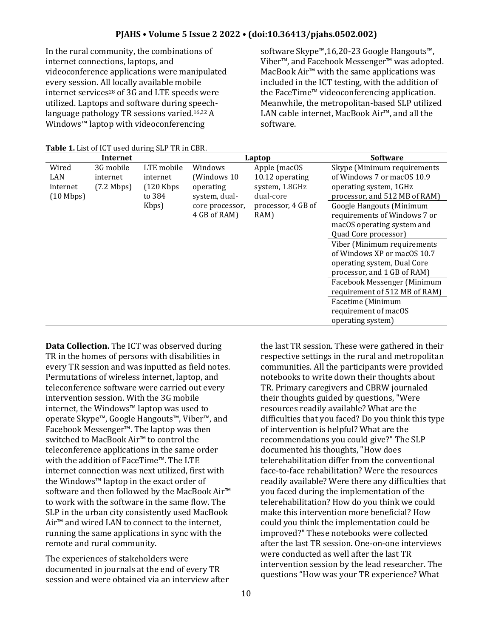In the rural community, the combinations of internet connections, laptops, and videoconference applications were manipulated every session. All locally available mobile internet services<sup>28</sup> of 3G and LTE speeds were utilized. Laptops and software during speechlanguage pathology TR sessions varied.16,22 A Windows™ laptop with videoconferencing

software Skype™,16,20-23 Google Hangouts™, Viber™, and Facebook Messenger™ was adopted. MacBook Air™ with the same applications was included in the ICT testing, with the addition of the FaceTime™ videoconferencing application. Meanwhile, the metropolitan-based SLP utilized LAN cable internet, MacBook Air™, and all the software.

| Internet            |                      |             |                 | Laptop             | <b>Software</b>               |  |
|---------------------|----------------------|-------------|-----------------|--------------------|-------------------------------|--|
| Wired               | 3G mobile            | LTE mobile  | Windows         | Apple (macOS       | Skype (Minimum requirements   |  |
| LAN                 | internet             | internet    | (Windows 10)    | 10.12 operating    | of Windows 7 or macOS 10.9    |  |
| internet            | $(7.2 \text{ Mbps})$ | $(120$ Kbps | operating       | system, 1.8GHz     | operating system, 1GHz        |  |
| $(10 \text{ Mbps})$ |                      | to 384      | system, dual-   | dual-core          | processor, and 512 MB of RAM) |  |
|                     |                      | Kbps)       | core processor, | processor, 4 GB of | Google Hangouts (Minimum      |  |
|                     |                      |             | 4 GB of RAM)    | RAM)               | requirements of Windows 7 or  |  |
|                     |                      |             |                 |                    | macOS operating system and    |  |
|                     |                      |             |                 |                    | Quad Core processor)          |  |
|                     |                      |             |                 |                    | Viber (Minimum requirements   |  |
|                     |                      |             |                 |                    | of Windows XP or macOS 10.7   |  |
|                     |                      |             |                 |                    | operating system, Dual Core   |  |
|                     |                      |             |                 |                    | processor, and 1 GB of RAM)   |  |
|                     |                      |             |                 |                    | Facebook Messenger (Minimum   |  |
|                     |                      |             |                 |                    | requirement of 512 MB of RAM) |  |
|                     |                      |             |                 |                    | Facetime (Minimum             |  |
|                     |                      |             |                 |                    | requirement of macOS          |  |
|                     |                      |             |                 |                    | operating system)             |  |

**Table 1.** List of ICT used during SLP TR in CBR.

**Data Collection.** The ICT was observed during TR in the homes of persons with disabilities in every TR session and was inputted as field notes. Permutations of wireless internet, laptop, and teleconference software were carried out every intervention session. With the 3G mobile internet, the Windows™ laptop was used to operate Skype™, Google Hangouts™, Viber™, and Facebook Messenger™. The laptop was then switched to MacBook Air™ to control the teleconference applications in the same order with the addition of FaceTime™. The LTE internet connection was next utilized, first with the Windows™ laptop in the exact order of software and then followed by the MacBook Air™ to work with the software in the same flow. The SLP in the urban city consistently used MacBook Air™ and wired LAN to connect to the internet, running the same applications in sync with the remote and rural community.

The experiences of stakeholders were documented in journals at the end of every TR session and were obtained via an interview after

the last TR session. These were gathered in their respective settings in the rural and metropolitan communities. All the participants were provided notebooks to write down their thoughts about TR. Primary caregivers and CBRW journaled their thoughts guided by questions, "Were resources readily available? What are the difficulties that you faced? Do you think this type of intervention is helpful? What are the recommendations you could give?" The SLP documented his thoughts, "How does telerehabilitation differ from the conventional face-to-face rehabilitation? Were the resources readily available? Were there any difficulties that you faced during the implementation of the telerehabilitation? How do you think we could make this intervention more beneficial? How could you think the implementation could be improved?" These notebooks were collected after the last TR session. One-on-one interviews were conducted as well after the last TR intervention session by the lead researcher. The questions "How was your TR experience? What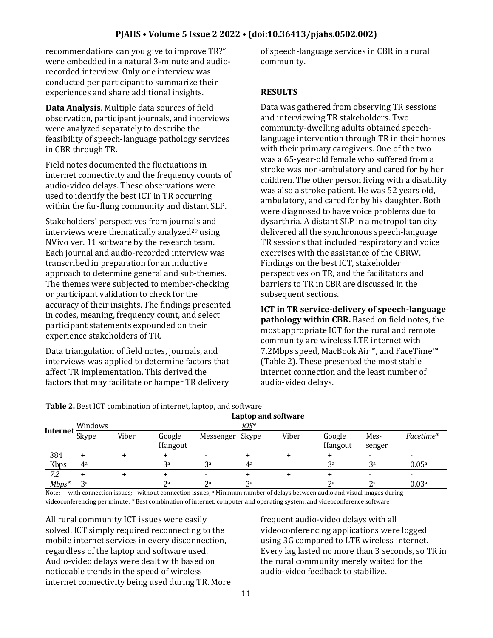recommendations can you give to improve TR?" were embedded in a natural 3-minute and audiorecorded interview. Only one interview was conducted per participant to summarize their experiences and share additional insights.

**Data Analysis**. Multiple data sources of field observation, participant journals, and interviews were analyzed separately to describe the feasibility of speech-language pathology services in CBR through TR.

Field notes documented the fluctuations in internet connectivity and the frequency counts of audio-video delays. These observations were used to identify the best ICT in TR occurring within the far-flung community and distant SLP.

Stakeholders' perspectives from journals and interviews were thematically analyzed<sup>29</sup> using NVivo ver. 11 software by the research team. Each journal and audio-recorded interview was transcribed in preparation for an inductive approach to determine general and sub-themes. The themes were subjected to member-checking or participant validation to check for the accuracy of their insights. The findings presented in codes, meaning, frequency count, and select participant statements expounded on their experience stakeholders of TR.

Data triangulation of field notes, journals, and interviews was applied to determine factors that affect TR implementation. This derived the factors that may facilitate or hamper TR delivery

of speech-language services in CBR in a rural community.

#### **RESULTS**

Data was gathered from observing TR sessions and interviewing TR stakeholders. Two community-dwelling adults obtained speechlanguage intervention through TR in their homes with their primary caregivers. One of the two was a 65-year-old female who suffered from a stroke was non-ambulatory and cared for by her children. The other person living with a disability was also a stroke patient. He was 52 years old, ambulatory, and cared for by his daughter. Both were diagnosed to have voice problems due to dysarthria. A distant SLP in a metropolitan city delivered all the synchronous speech-language TR sessions that included respiratory and voice exercises with the assistance of the CBRW. Findings on the best ICT, stakeholder perspectives on TR, and the facilitators and barriers to TR in CBR are discussed in the subsequent sections.

**ICT in TR service-delivery of speech-language pathology within CBR.** Based on field notes, the most appropriate ICT for the rural and remote community are wireless LTE internet with 7.2Mbps speed, MacBook Air™, and FaceTime™ (Table 2). These presented the most stable internet connection and the least number of audio-video delays.

|                 | <b>rapic 2.</b> Descret combination or internet, laptop, and software. |       |                |                 |                |       |                |                |                   |  |
|-----------------|------------------------------------------------------------------------|-------|----------------|-----------------|----------------|-------|----------------|----------------|-------------------|--|
|                 | Laptop and software                                                    |       |                |                 |                |       |                |                |                   |  |
|                 | Windows                                                                |       | <u>iOS</u> *   |                 |                |       |                |                |                   |  |
| <b>Internet</b> | Skype                                                                  | Viber | Google         | Messenger Skype |                | Viber | Google         | Mes-           | Facetime*         |  |
|                 |                                                                        |       | Hangout        |                 |                |       | Hangout        | senger         |                   |  |
| 384             |                                                                        |       | +              |                 |                |       |                | -              | -                 |  |
| Kbps            | 4 <sup>a</sup>                                                         |       | 3 <sup>a</sup> | 3 <sup>a</sup>  | 4a             |       | 3 <sup>a</sup> | 3 <sup>a</sup> | 0.05 <sup>a</sup> |  |
| <u>7.2</u>      |                                                                        |       |                |                 |                |       |                |                |                   |  |
| $Mbps^*$        | 3a                                                                     |       | 2 <sup>a</sup> | 2 <sup>a</sup>  | 3 <sup>a</sup> |       | 2 <sup>a</sup> | 2 <sup>a</sup> | 0.03 <sup>a</sup> |  |

**Table 2.** Best ICT combination of internet, laptop, and software.

Note: + with connection issues; - without connection issues; <sup>a</sup> Minimum number of delays between audio and visual images during videoconferencing per minute; *\** Best combination of internet, computer and operating system, and videoconference software

All rural community ICT issues were easily solved. ICT simply required reconnecting to the mobile internet services in every disconnection, regardless of the laptop and software used. Audio-video delays were dealt with based on noticeable trends in the speed of wireless internet connectivity being used during TR. More frequent audio-video delays with all videoconferencing applications were logged using 3G compared to LTE wireless internet. Every lag lasted no more than 3 seconds, so TR in the rural community merely waited for the audio-video feedback to stabilize.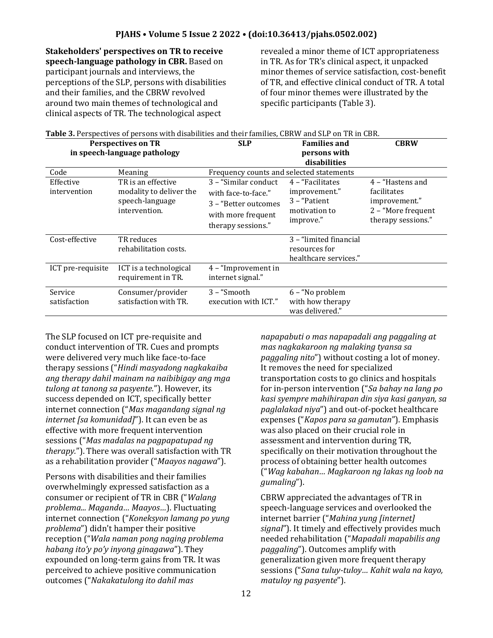**Stakeholders' perspectives on TR to receive speech-language pathology in CBR.** Based on participant journals and interviews, the perceptions of the SLP, persons with disabilities and their families, and the CBRW revolved around two main themes of technological and clinical aspects of TR. The technological aspect

revealed a minor theme of ICT appropriateness in TR. As for TR's clinical aspect, it unpacked minor themes of service satisfaction, cost-benefit of TR, and effective clinical conduct of TR. A total of four minor themes were illustrated by the specific participants (Table 3).

| Table 3. Perspectives of persons with disabilities and their families, CBRW and SLP on TR in CBR. |                                                                                   |                                                                                                                  |                                                                                  |                                                                                              |  |  |  |
|---------------------------------------------------------------------------------------------------|-----------------------------------------------------------------------------------|------------------------------------------------------------------------------------------------------------------|----------------------------------------------------------------------------------|----------------------------------------------------------------------------------------------|--|--|--|
|                                                                                                   | <b>Perspectives on TR</b>                                                         | <b>SLP</b>                                                                                                       | <b>Families and</b>                                                              | <b>CBRW</b>                                                                                  |  |  |  |
|                                                                                                   | in speech-language pathology                                                      |                                                                                                                  | persons with                                                                     |                                                                                              |  |  |  |
|                                                                                                   |                                                                                   |                                                                                                                  | disabilities                                                                     |                                                                                              |  |  |  |
| Code                                                                                              | Meaning                                                                           | Frequency counts and selected statements                                                                         |                                                                                  |                                                                                              |  |  |  |
| Effective<br>intervention                                                                         | TR is an effective<br>modality to deliver the<br>speech-language<br>intervention. | 3 - "Similar conduct<br>with face-to-face."<br>3 - "Better outcomes"<br>with more frequent<br>therapy sessions." | 4 - "Facilitates<br>improvement."<br>3 - "Patient"<br>motivation to<br>improve." | 4 – "Hastens and<br>facilitates<br>improvement."<br>2 - "More frequent<br>therapy sessions." |  |  |  |
| Cost-effective                                                                                    | TR reduces<br>rehabilitation costs.                                               |                                                                                                                  | 3 - "limited financial<br>resources for<br>healthcare services."                 |                                                                                              |  |  |  |
| ICT pre-requisite                                                                                 | ICT is a technological<br>requirement in TR.                                      | 4 - "Improvement in<br>internet signal."                                                                         |                                                                                  |                                                                                              |  |  |  |
| Service<br>satisfaction                                                                           | Consumer/provider<br>satisfaction with TR.                                        | 3 – "Smooth<br>execution with ICT."                                                                              | 6 - "No problem<br>with how therapy<br>was delivered."                           |                                                                                              |  |  |  |

The SLP focused on ICT pre-requisite and conduct intervention of TR. Cues and prompts were delivered very much like face-to-face therapy sessions ("*Hindi masyadong nagkakaiba ang therapy dahil mainam na naibibigay ang mga tulong at tanong sa pasyente*."). However, its success depended on ICT, specifically better internet connection ("*Mas magandang signal ng internet [sa komunidad]*"). It can even be as effective with more frequent intervention sessions ("*Mas madalas na pagpapatupad ng therapy.*"). There was overall satisfaction with TR as a rehabilitation provider ("*Maayos nagawa*").

Persons with disabilities and their families overwhelmingly expressed satisfaction as a consumer or recipient of TR in CBR ("*Walang problema... Maganda… Maayos…*). Fluctuating internet connection ("*Koneksyon lamang po yung problema*") didn't hamper their positive reception ("*Wala naman pong naging problema habang ito'y po'y inyong ginagawa*"). They expounded on long-term gains from TR. It was perceived to achieve positive communication outcomes ("*Nakakatulong ito dahil mas* 

*napapabuti o mas napapadali ang paggaling at mas nagkakaroon ng malaking tyansa sa paggaling nito*") without costing a lot of money. It removes the need for specialized transportation costs to go clinics and hospitals for in-person intervention ("*Sa bahay na lang po kasi syempre mahihirapan din siya kasi ganyan, sa paglalakad niya*") and out-of-pocket healthcare expenses ("*Kapos para sa gamutan*"). Emphasis was also placed on their crucial role in assessment and intervention during TR, specifically on their motivation throughout the process of obtaining better health outcomes ("*Wag kabahan… Magkaroon ng lakas ng loob na gumaling*").

CBRW appreciated the advantages of TR in speech-language services and overlooked the internet barrier ("*Mahina yung [internet] signal*"). It timely and effectively provides much needed rehabilitation ("*Mapadali mapabilis ang paggaling*"). Outcomes amplify with generalization given more frequent therapy sessions ("*Sana tuluy-tuloy… Kahit wala na kayo, matuloy ng pasyente*").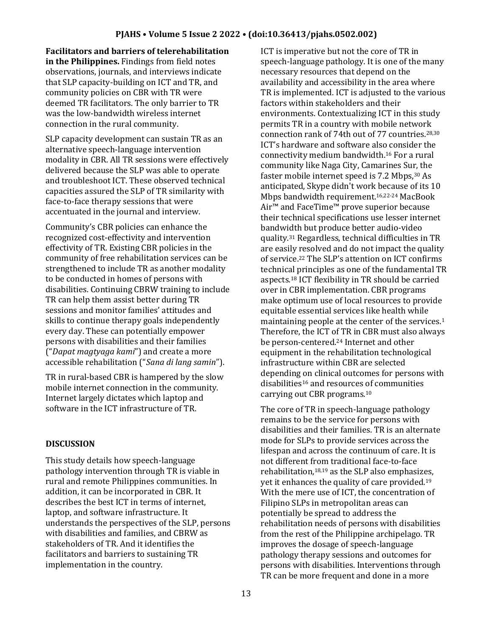**Facilitators and barriers of telerehabilitation in the Philippines.** Findings from field notes observations, journals, and interviews indicate that SLP capacity-building on ICT and TR, and community policies on CBR with TR were deemed TR facilitators. The only barrier to TR was the low-bandwidth wireless internet connection in the rural community.

SLP capacity development can sustain TR as an alternative speech-language intervention modality in CBR. All TR sessions were effectively delivered because the SLP was able to operate and troubleshoot ICT. These observed technical capacities assured the SLP of TR similarity with face-to-face therapy sessions that were accentuated in the journal and interview.

Community's CBR policies can enhance the recognized cost-effectivity and intervention effectivity of TR. Existing CBR policies in the community of free rehabilitation services can be strengthened to include TR as another modality to be conducted in homes of persons with disabilities. Continuing CBRW training to include TR can help them assist better during TR sessions and monitor families' attitudes and skills to continue therapy goals independently every day. These can potentially empower persons with disabilities and their families ("*Dapat magtyaga kami*") and create a more accessible rehabilitation ("*Sana di lang samin*").

TR in rural-based CBR is hampered by the slow mobile internet connection in the community. Internet largely dictates which laptop and software in the ICT infrastructure of TR.

# **DISCUSSION**

This study details how speech-language pathology intervention through TR is viable in rural and remote Philippines communities. In addition, it can be incorporated in CBR. It describes the best ICT in terms of internet, laptop, and software infrastructure. It understands the perspectives of the SLP, persons with disabilities and families, and CBRW as stakeholders of TR. And it identifies the facilitators and barriers to sustaining TR implementation in the country.

ICT is imperative but not the core of TR in speech-language pathology. It is one of the many necessary resources that depend on the availability and accessibility in the area where TR is implemented. ICT is adjusted to the various factors within stakeholders and their environments. Contextualizing ICT in this study permits TR in a country with mobile network connection rank of 74th out of 77 countries.28,30 ICT's hardware and software also consider the connectivity medium bandwidth.<sup>16</sup> For a rural community like Naga City, Camarines Sur, the faster mobile internet speed is 7.2 Mbps, 30 As anticipated, Skype didn't work because of its 10 Mbps bandwidth requirement.16,22-24 MacBook Air™ and FaceTime™ prove superior because their technical specifications use lesser internet bandwidth but produce better audio-video quality.<sup>31</sup> Regardless, technical difficulties in TR are easily resolved and do not impact the quality of service.<sup>22</sup> The SLP's attention on ICT confirms technical principles as one of the fundamental TR aspects.<sup>18</sup> ICT flexibility in TR should be carried over in CBR implementation. CBR programs make optimum use of local resources to provide equitable essential services like health while maintaining people at the center of the services.<sup>1</sup> Therefore, the ICT of TR in CBR must also always be person-centered.<sup>24</sup> Internet and other equipment in the rehabilitation technological infrastructure within CBR are selected depending on clinical outcomes for persons with disabilities<sup>16</sup> and resources of communities carrying out CBR programs.<sup>10</sup>

The core of TR in speech-language pathology remains to be the service for persons with disabilities and their families. TR is an alternate mode for SLPs to provide services across the lifespan and across the continuum of care. It is not different from traditional face-to-face rehabilitation,18,19 as the SLP also emphasizes, yet it enhances the quality of care provided.<sup>19</sup> With the mere use of ICT, the concentration of Filipino SLPs in metropolitan areas can potentially be spread to address the rehabilitation needs of persons with disabilities from the rest of the Philippine archipelago. TR improves the dosage of speech-language pathology therapy sessions and outcomes for persons with disabilities. Interventions through TR can be more frequent and done in a more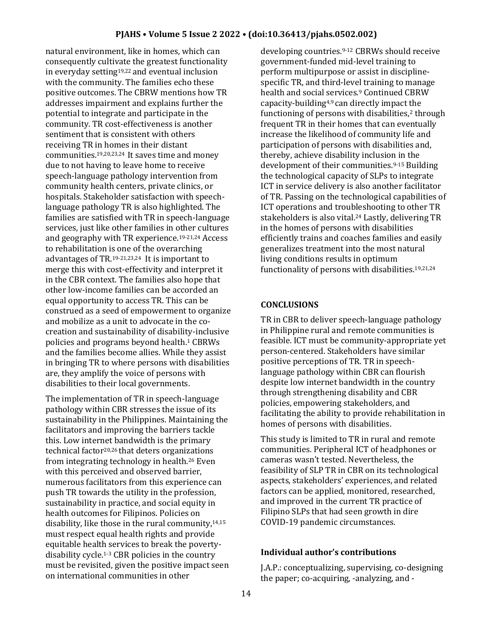natural environment, like in homes, which can consequently cultivate the greatest functionality in everyday setting19,22 and eventual inclusion with the community. The families echo these positive outcomes. The CBRW mentions how TR addresses impairment and explains further the potential to integrate and participate in the community. TR cost-effectiveness is another sentiment that is consistent with others receiving TR in homes in their distant communities.19,20,23,24 It saves time and money due to not having to leave home to receive speech-language pathology intervention from community health centers, private clinics, or hospitals. Stakeholder satisfaction with speechlanguage pathology TR is also highlighted. The families are satisfied with TR in speech-language services, just like other families in other cultures and geography with TR experience.19-21,24 Access to rehabilitation is one of the overarching advantages of TR.19-21,23,24 It is important to merge this with cost-effectivity and interpret it in the CBR context. The families also hope that other low-income families can be accorded an equal opportunity to access TR. This can be construed as a seed of empowerment to organize and mobilize as a unit to advocate in the cocreation and sustainability of disability-inclusive policies and programs beyond health.<sup>1</sup> CBRWs and the families become allies. While they assist in bringing TR to where persons with disabilities are, they amplify the voice of persons with disabilities to their local governments.

The implementation of TR in speech-language pathology within CBR stresses the issue of its sustainability in the Philippines. Maintaining the facilitators and improving the barriers tackle this. Low internet bandwidth is the primary technical factor20,26 that deters organizations from integrating technology in health.<sup>26</sup> Even with this perceived and observed barrier, numerous facilitators from this experience can push TR towards the utility in the profession, sustainability in practice, and social equity in health outcomes for Filipinos. Policies on disability, like those in the rural community,14,15 must respect equal health rights and provide equitable health services to break the povertydisability cycle.1-3 CBR policies in the country must be revisited, given the positive impact seen on international communities in other

developing countries.9-12 CBRWs should receive government-funded mid-level training to perform multipurpose or assist in disciplinespecific TR, and third-level training to manage health and social services.<sup>9</sup> Continued CBRW capacity-building4,9 can directly impact the functioning of persons with disabilities,<sup>2</sup> through frequent TR in their homes that can eventually increase the likelihood of community life and participation of persons with disabilities and, thereby, achieve disability inclusion in the development of their communities.9-15 Building the technological capacity of SLPs to integrate ICT in service delivery is also another facilitator of TR. Passing on the technological capabilities of ICT operations and troubleshooting to other TR stakeholders is also vital.<sup>24</sup> Lastly, delivering TR in the homes of persons with disabilities efficiently trains and coaches families and easily generalizes treatment into the most natural living conditions results in optimum functionality of persons with disabilities. 19,21,24

# **CONCLUSIONS**

TR in CBR to deliver speech-language pathology in Philippine rural and remote communities is feasible. ICT must be community-appropriate yet person-centered. Stakeholders have similar positive perceptions of TR. TR in speechlanguage pathology within CBR can flourish despite low internet bandwidth in the country through strengthening disability and CBR policies, empowering stakeholders, and facilitating the ability to provide rehabilitation in homes of persons with disabilities.

This study is limited to TR in rural and remote communities. Peripheral ICT of headphones or cameras wasn't tested. Nevertheless, the feasibility of SLP TR in CBR on its technological aspects, stakeholders' experiences, and related factors can be applied, monitored, researched, and improved in the current TR practice of Filipino SLPs that had seen growth in dire COVID-19 pandemic circumstances.

# **Individual author's contributions**

J.A.P.: conceptualizing, supervising, co-designing the paper; co-acquiring, -analyzing, and -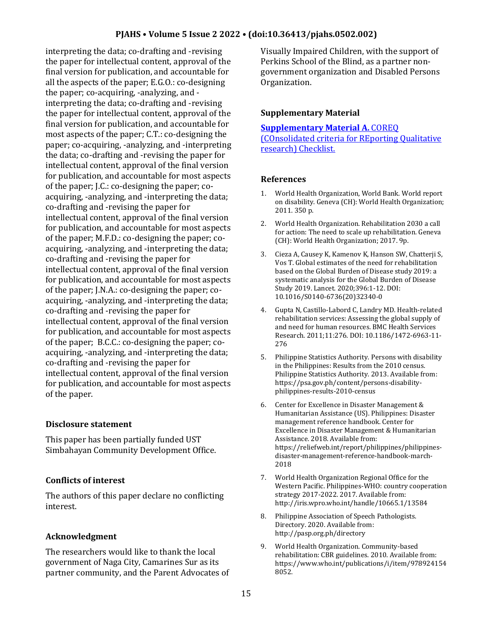interpreting the data; co-drafting and -revising the paper for intellectual content, approval of the final version for publication, and accountable for all the aspects of the paper; E.G.O.: co-designing the paper; co-acquiring, -analyzing, and interpreting the data; co-drafting and -revising the paper for intellectual content, approval of the final version for publication, and accountable for most aspects of the paper; C.T.: co-designing the paper; co-acquiring, -analyzing, and -interpreting the data; co-drafting and -revising the paper for intellectual content, approval of the final version for publication, and accountable for most aspects of the paper; J.C.: co-designing the paper; coacquiring, -analyzing, and -interpreting the data; co-drafting and -revising the paper for intellectual content, approval of the final version for publication, and accountable for most aspects of the paper; M.F.D.: co-designing the paper; coacquiring, -analyzing, and -interpreting the data; co-drafting and -revising the paper for intellectual content, approval of the final version for publication, and accountable for most aspects of the paper; J.N.A.: co-designing the paper; coacquiring, -analyzing, and -interpreting the data; co-drafting and -revising the paper for intellectual content, approval of the final version for publication, and accountable for most aspects of the paper; B.C.C.: co-designing the paper; coacquiring, -analyzing, and -interpreting the data; co-drafting and -revising the paper for intellectual content, approval of the final version for publication, and accountable for most aspects of the paper.

### **Disclosure statement**

This paper has been partially funded UST Simbahayan Community Development Office.

### **Conflicts of interest**

The authors of this paper declare no conflicting interest.

### **Acknowledgment**

The researchers would like to thank the local government of Naga City, Camarines Sur as its partner community, and the Parent Advocates of Visually Impaired Children, with the support of Perkins School of the Blind, as a partner nongovernment organization and Disabled Persons Organization.

### **Supplementary Material**

#### **[Supplementary Material A.](https://drive.google.com/file/d/1EK-SKSM2PxaL-0ZRZeprjz5HXaoC4AWc/view?usp=sharing)** COREQ

[\(COnsolidated criteria for REporting Qualitative](https://drive.google.com/file/d/1EK-SKSM2PxaL-0ZRZeprjz5HXaoC4AWc/view?usp=sharing)  [research\) Checklist.](https://drive.google.com/file/d/1EK-SKSM2PxaL-0ZRZeprjz5HXaoC4AWc/view?usp=sharing)

#### **References**

- 1. World Health Organization, World Bank. World report on disability. Geneva (CH): World Health Organization; 2011. 350 p.
- 2. World Health Organization. Rehabilitation 2030 a call for action: The need to scale up rehabilitation. Geneva (CH): World Health Organization; 2017. 9p.
- 3. Cieza A, Causey K, Kamenov K, Hanson SW, Chatterji S, Vos T. Global estimates of the need for rehabilitation based on the Global Burden of Disease study 2019: a systematic analysis for the Global Burden of Disease Study 2019. Lancet. 2020;396:1-12. DOI: 10.1016/S0140-6736(20)32340-0
- 4. Gupta N, Castillo-Labord C, Landry MD. Health-related rehabilitation services: Assessing the global supply of and need for human resources. BMC Health Services Research. 2011;11:276. DOI: 10.1186/1472-6963-11- 276
- 5. Philippine Statistics Authority. Persons with disability in the Philippines: Results from the 2010 census. Philippine Statistics Authority. 2013. Available from: https://psa.gov.ph/content/persons-disabilityphilippines-results-2010-census
- 6. Center for Excellence in Disaster Management & Humanitarian Assistance (US). Philippines: Disaster management reference handbook. Center for Excellence in Disaster Management & Humanitarian Assistance. 2018. Available from: https://reliefweb.int/report/philippines/philippinesdisaster-management-reference-handbook-march-2018
- 7. World Health Organization Regional Office for the Western Pacific. Philippines-WHO: country cooperation strategy 2017-2022. 2017. Available from: http://iris.wpro.who.int/handle/10665.1/13584
- 8. Philippine Association of Speech Pathologists. Directory. 2020. Available from: http://pasp.org.ph/directory
- 9. World Health Organization. Community-based rehabilitation: CBR guidelines. 2010. Available from: https://www.who.int/publications/i/item/978924154 8052.